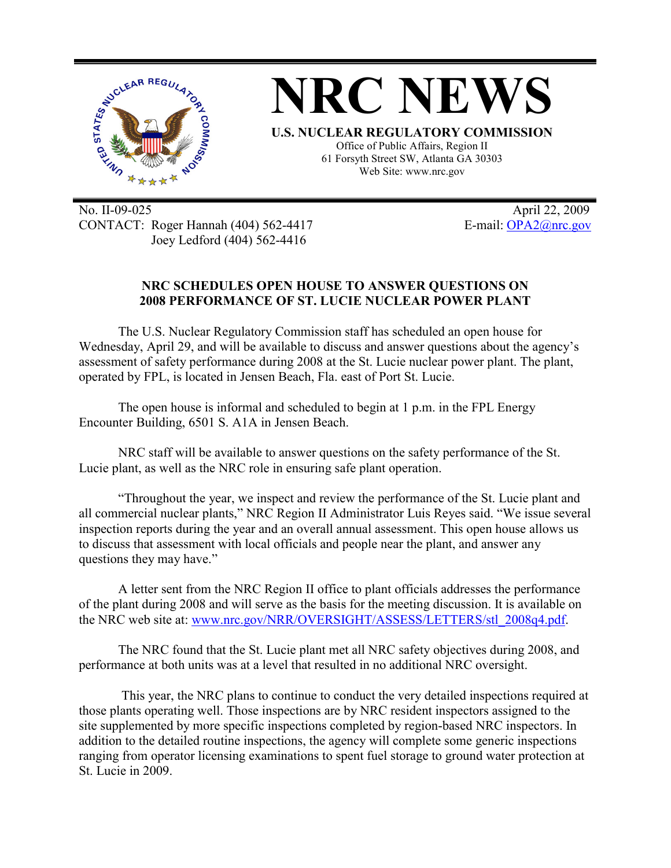

No. II-09-025 April 22, 2009 CONTACT: Roger Hannah (404) 562-4417 E-mail: OPA2@nrc.gov Joey Ledford (404) 562-4416

## **NRC SCHEDULES OPEN HOUSE TO ANSWER QUESTIONS ON 2008 PERFORMANCE OF ST. LUCIE NUCLEAR POWER PLANT**

The U.S. Nuclear Regulatory Commission staff has scheduled an open house for Wednesday, April 29, and will be available to discuss and answer questions about the agency's assessment of safety performance during 2008 at the St. Lucie nuclear power plant. The plant, operated by FPL, is located in Jensen Beach, Fla. east of Port St. Lucie.

The open house is informal and scheduled to begin at 1 p.m. in the FPL Energy Encounter Building, 6501 S. A1A in Jensen Beach.

NRC staff will be available to answer questions on the safety performance of the St. Lucie plant, as well as the NRC role in ensuring safe plant operation.

"Throughout the year, we inspect and review the performance of the St. Lucie plant and all commercial nuclear plants," NRC Region II Administrator Luis Reyes said. "We issue several inspection reports during the year and an overall annual assessment. This open house allows us to discuss that assessment with local officials and people near the plant, and answer any questions they may have."

A letter sent from the NRC Region II office to plant officials addresses the performance of the plant during 2008 and will serve as the basis for the meeting discussion. It is available on the NRC web site at: www.nrc.gov/NRR/OVERSIGHT/ASSESS/LETTERS/stl 2008q4.pdf.

The NRC found that the St. Lucie plant met all NRC safety objectives during 2008, and performance at both units was at a level that resulted in no additional NRC oversight.

 This year, the NRC plans to continue to conduct the very detailed inspections required at those plants operating well. Those inspections are by NRC resident inspectors assigned to the site supplemented by more specific inspections completed by region-based NRC inspectors. In addition to the detailed routine inspections, the agency will complete some generic inspections ranging from operator licensing examinations to spent fuel storage to ground water protection at St. Lucie in 2009.